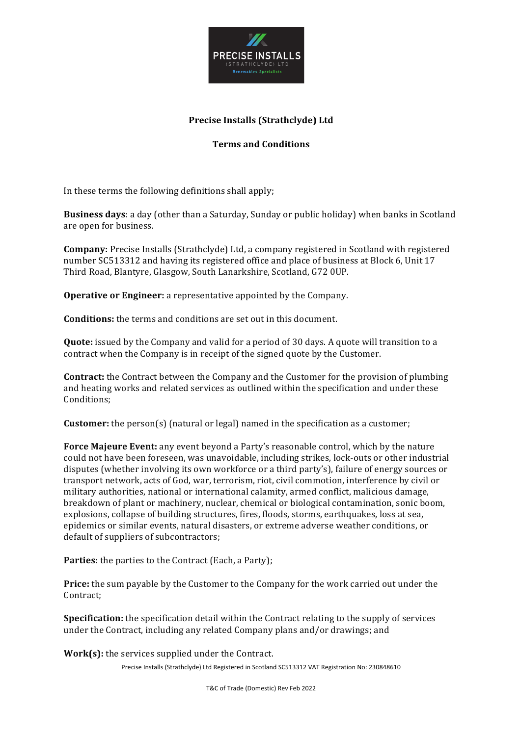

# **Precise Installs (Strathclyde) Ltd**

# **Terms and Conditions**

In these terms the following definitions shall apply:

**Business days**: a day (other than a Saturday, Sunday or public holiday) when banks in Scotland are open for business.

**Company:** Precise Installs (Strathclyde) Ltd, a company registered in Scotland with registered number SC513312 and having its registered office and place of business at Block 6, Unit 17 Third Road, Blantyre, Glasgow, South Lanarkshire, Scotland, G72 0UP.

**Operative or Engineer:** a representative appointed by the Company.

**Conditions:** the terms and conditions are set out in this document.

**Quote:** issued by the Company and valid for a period of 30 days. A quote will transition to a contract when the Company is in receipt of the signed quote by the Customer.

**Contract:** the Contract between the Company and the Customer for the provision of plumbing and heating works and related services as outlined within the specification and under these Conditions; 

**Customer:** the person(s) (natural or legal) named in the specification as a customer;

**Force Majeure Event:** any event beyond a Party's reasonable control, which by the nature could not have been foreseen, was unavoidable, including strikes, lock-outs or other industrial disputes (whether involving its own workforce or a third party's), failure of energy sources or transport network, acts of God, war, terrorism, riot, civil commotion, interference by civil or military authorities, national or international calamity, armed conflict, malicious damage, breakdown of plant or machinery, nuclear, chemical or biological contamination, sonic boom, explosions, collapse of building structures, fires, floods, storms, earthquakes, loss at sea, epidemics or similar events, natural disasters, or extreme adverse weather conditions, or default of suppliers of subcontractors;

**Parties:** the parties to the Contract (Each, a Party);

**Price:** the sum payable by the Customer to the Company for the work carried out under the Contract; 

**Specification:** the specification detail within the Contract relating to the supply of services under the Contract, including any related Company plans and/or drawings; and

**Work(s):** the services supplied under the Contract.

Precise Installs (Strathclyde) Ltd Registered in Scotland SC513312 VAT Registration No: 230848610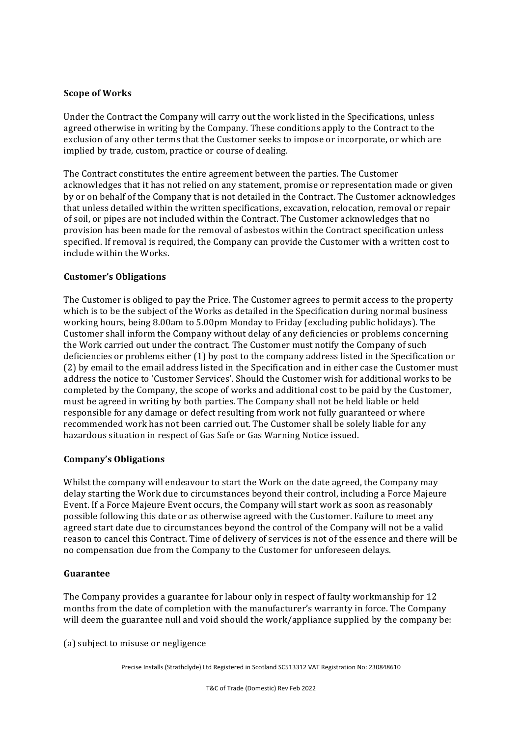### **Scope of Works**

Under the Contract the Company will carry out the work listed in the Specifications, unless agreed otherwise in writing by the Company. These conditions apply to the Contract to the exclusion of any other terms that the Customer seeks to impose or incorporate, or which are implied by trade, custom, practice or course of dealing.

The Contract constitutes the entire agreement between the parties. The Customer acknowledges that it has not relied on any statement, promise or representation made or given by or on behalf of the Company that is not detailed in the Contract. The Customer acknowledges that unless detailed within the written specifications, excavation, relocation, removal or repair of soil, or pipes are not included within the Contract. The Customer acknowledges that no provision has been made for the removal of asbestos within the Contract specification unless specified. If removal is required, the Company can provide the Customer with a written cost to include within the Works.

### **Customer's Obligations**

The Customer is obliged to pay the Price. The Customer agrees to permit access to the property which is to be the subject of the Works as detailed in the Specification during normal business working hours, being 8.00am to 5.00pm Monday to Friday (excluding public holidays). The Customer shall inform the Company without delay of any deficiencies or problems concerning the Work carried out under the contract. The Customer must notify the Company of such deficiencies or problems either  $(1)$  by post to the company address listed in the Specification or (2) by email to the email address listed in the Specification and in either case the Customer must address the notice to 'Customer Services'. Should the Customer wish for additional works to be completed by the Company, the scope of works and additional cost to be paid by the Customer, must be agreed in writing by both parties. The Company shall not be held liable or held responsible for any damage or defect resulting from work not fully guaranteed or where recommended work has not been carried out. The Customer shall be solely liable for any hazardous situation in respect of Gas Safe or Gas Warning Notice issued.

## **Company's Obligations**

Whilst the company will endeavour to start the Work on the date agreed, the Company may delay starting the Work due to circumstances beyond their control, including a Force Majeure Event. If a Force Majeure Event occurs, the Company will start work as soon as reasonably possible following this date or as otherwise agreed with the Customer. Failure to meet any agreed start date due to circumstances beyond the control of the Company will not be a valid reason to cancel this Contract. Time of delivery of services is not of the essence and there will be no compensation due from the Company to the Customer for unforeseen delays.

#### **Guarantee**

The Company provides a guarantee for labour only in respect of faulty workmanship for 12 months from the date of completion with the manufacturer's warranty in force. The Company will deem the guarantee null and void should the work/appliance supplied by the company be:

(a) subject to misuse or negligence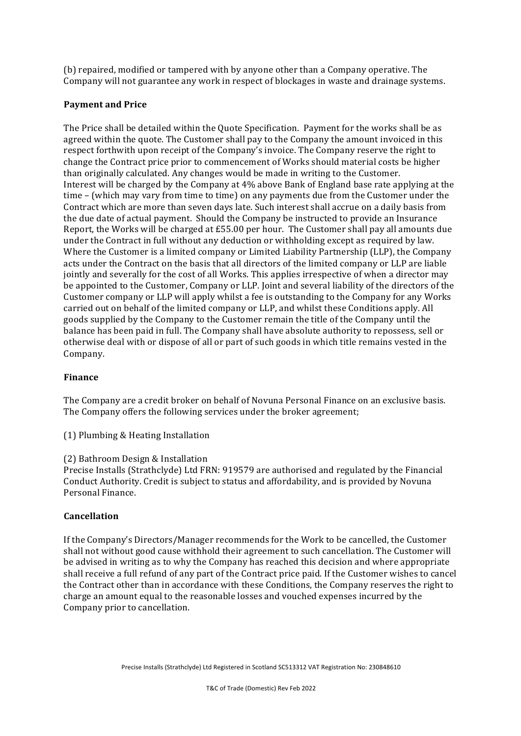(b) repaired, modified or tampered with by anyone other than a Company operative. The Company will not guarantee any work in respect of blockages in waste and drainage systems.

### **Payment and Price**

The Price shall be detailed within the Quote Specification. Payment for the works shall be as agreed within the quote. The Customer shall pay to the Company the amount invoiced in this respect forthwith upon receipt of the Company's invoice. The Company reserve the right to change the Contract price prior to commencement of Works should material costs be higher than originally calculated. Any changes would be made in writing to the Customer. Interest will be charged by the Company at 4% above Bank of England base rate applying at the time – (which may vary from time to time) on any payments due from the Customer under the Contract which are more than seven days late. Such interest shall accrue on a daily basis from the due date of actual payment. Should the Company be instructed to provide an Insurance Report, the Works will be charged at  $£55.00$  per hour. The Customer shall pay all amounts due under the Contract in full without any deduction or withholding except as required by law. Where the Customer is a limited company or Limited Liability Partnership (LLP), the Company acts under the Contract on the basis that all directors of the limited company or LLP are liable jointly and severally for the cost of all Works. This applies irrespective of when a director may be appointed to the Customer, Company or LLP. Joint and several liability of the directors of the Customer company or LLP will apply whilst a fee is outstanding to the Company for any Works carried out on behalf of the limited company or LLP, and whilst these Conditions apply. All goods supplied by the Company to the Customer remain the title of the Company until the balance has been paid in full. The Company shall have absolute authority to repossess, sell or otherwise deal with or dispose of all or part of such goods in which title remains vested in the Company. 

#### **Finance**

The Company are a credit broker on behalf of Novuna Personal Finance on an exclusive basis. The Company offers the following services under the broker agreement;

(1) Plumbing  $&$  Heating Installation

#### (2) Bathroom Design & Installation

Precise Installs (Strathclyde) Ltd FRN: 919579 are authorised and regulated by the Financial Conduct Authority. Credit is subject to status and affordability, and is provided by Novuna Personal Finance.

#### **Cancellation**

If the Company's Directors/Manager recommends for the Work to be cancelled, the Customer shall not without good cause withhold their agreement to such cancellation. The Customer will be advised in writing as to why the Company has reached this decision and where appropriate shall receive a full refund of any part of the Contract price paid. If the Customer wishes to cancel the Contract other than in accordance with these Conditions, the Company reserves the right to charge an amount equal to the reasonable losses and vouched expenses incurred by the Company prior to cancellation.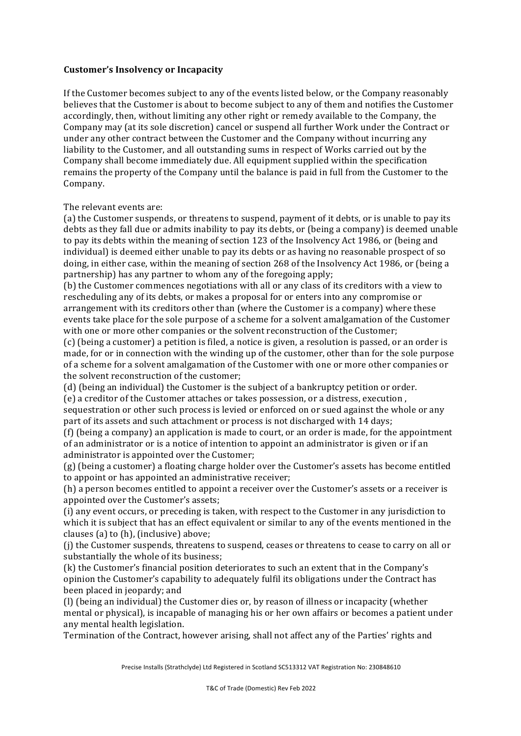### **Customer's Insolvency or Incapacity**

If the Customer becomes subject to any of the events listed below, or the Company reasonably believes that the Customer is about to become subject to any of them and notifies the Customer accordingly, then, without limiting any other right or remedy available to the Company, the Company may (at its sole discretion) cancel or suspend all further Work under the Contract or under any other contract between the Customer and the Company without incurring any liability to the Customer, and all outstanding sums in respect of Works carried out by the Company shall become immediately due. All equipment supplied within the specification remains the property of the Company until the balance is paid in full from the Customer to the Company. 

The relevant events are:

(a) the Customer suspends, or threatens to suspend, payment of it debts, or is unable to pay its debts as they fall due or admits inability to pay its debts, or (being a company) is deemed unable to pay its debts within the meaning of section 123 of the Insolvency Act 1986, or (being and individual) is deemed either unable to pay its debts or as having no reasonable prospect of so doing, in either case, within the meaning of section 268 of the Insolvency Act 1986, or (being a partnership) has any partner to whom any of the foregoing apply;

(b) the Customer commences negotiations with all or any class of its creditors with a view to rescheduling any of its debts, or makes a proposal for or enters into any compromise or arrangement with its creditors other than (where the Customer is a company) where these events take place for the sole purpose of a scheme for a solvent amalgamation of the Customer with one or more other companies or the solvent reconstruction of the Customer:

(c) (being a customer) a petition is filed, a notice is given, a resolution is passed, or an order is made, for or in connection with the winding up of the customer, other than for the sole purpose of a scheme for a solvent amalgamation of the Customer with one or more other companies or the solvent reconstruction of the customer:

(d) (being an individual) the Customer is the subject of a bankruptcy petition or order. (e) a creditor of the Customer attaches or takes possession, or a distress, execution,

sequestration or other such process is levied or enforced on or sued against the whole or any part of its assets and such attachment or process is not discharged with 14 days;

(f) (being a company) an application is made to court, or an order is made, for the appointment of an administrator or is a notice of intention to appoint an administrator is given or if an administrator is appointed over the Customer;

(g) (being a customer) a floating charge holder over the Customer's assets has become entitled to appoint or has appointed an administrative receiver;

(h) a person becomes entitled to appoint a receiver over the Customer's assets or a receiver is appointed over the Customer's assets;

(i) any event occurs, or preceding is taken, with respect to the Customer in any jurisdiction to which it is subject that has an effect equivalent or similar to any of the events mentioned in the clauses  $(a)$  to  $(h)$ ,  $(inclusive)$  above;

(j) the Customer suspends, threatens to suspend, ceases or threatens to cease to carry on all or substantially the whole of its business;

(k) the Customer's financial position deteriorates to such an extent that in the Company's opinion the Customer's capability to adequately fulfil its obligations under the Contract has been placed in jeopardy; and

(l) (being an individual) the Customer dies or, by reason of illness or incapacity (whether mental or physical), is incapable of managing his or her own affairs or becomes a patient under any mental health legislation.

Termination of the Contract, however arising, shall not affect any of the Parties' rights and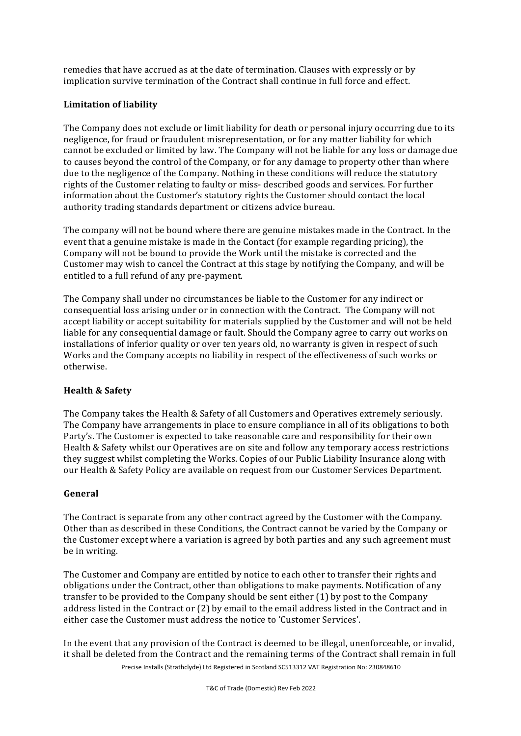remedies that have accrued as at the date of termination. Clauses with expressly or by implication survive termination of the Contract shall continue in full force and effect.

## Limitation of liability

The Company does not exclude or limit liability for death or personal injury occurring due to its negligence, for fraud or fraudulent misrepresentation, or for any matter liability for which cannot be excluded or limited by law. The Company will not be liable for any loss or damage due to causes beyond the control of the Company, or for any damage to property other than where due to the negligence of the Company. Nothing in these conditions will reduce the statutory rights of the Customer relating to faulty or miss- described goods and services. For further information about the Customer's statutory rights the Customer should contact the local authority trading standards department or citizens advice bureau.

The company will not be bound where there are genuine mistakes made in the Contract. In the event that a genuine mistake is made in the Contact (for example regarding pricing), the Company will not be bound to provide the Work until the mistake is corrected and the Customer may wish to cancel the Contract at this stage by notifying the Company, and will be entitled to a full refund of any pre-payment.

The Company shall under no circumstances be liable to the Customer for any indirect or consequential loss arising under or in connection with the Contract. The Company will not accept liability or accept suitability for materials supplied by the Customer and will not be held liable for any consequential damage or fault. Should the Company agree to carry out works on installations of inferior quality or over ten years old, no warranty is given in respect of such Works and the Company accepts no liability in respect of the effectiveness of such works or otherwise. 

# **Health & Safety**

The Company takes the Health & Safety of all Customers and Operatives extremely seriously. The Company have arrangements in place to ensure compliance in all of its obligations to both Party's. The Customer is expected to take reasonable care and responsibility for their own Health & Safety whilst our Operatives are on site and follow any temporary access restrictions they suggest whilst completing the Works. Copies of our Public Liability Insurance along with our Health & Safety Policy are available on request from our Customer Services Department.

## **General**

The Contract is separate from any other contract agreed by the Customer with the Company. Other than as described in these Conditions, the Contract cannot be varied by the Company or the Customer except where a variation is agreed by both parties and any such agreement must be in writing.

The Customer and Company are entitled by notice to each other to transfer their rights and obligations under the Contract, other than obligations to make payments. Notification of any transfer to be provided to the Company should be sent either  $(1)$  by post to the Company address listed in the Contract or (2) by email to the email address listed in the Contract and in either case the Customer must address the notice to 'Customer Services'.

In the event that any provision of the Contract is deemed to be illegal, unenforceable, or invalid, it shall be deleted from the Contract and the remaining terms of the Contract shall remain in full

Precise Installs (Strathclyde) Ltd Registered in Scotland SC513312 VAT Registration No: 230848610